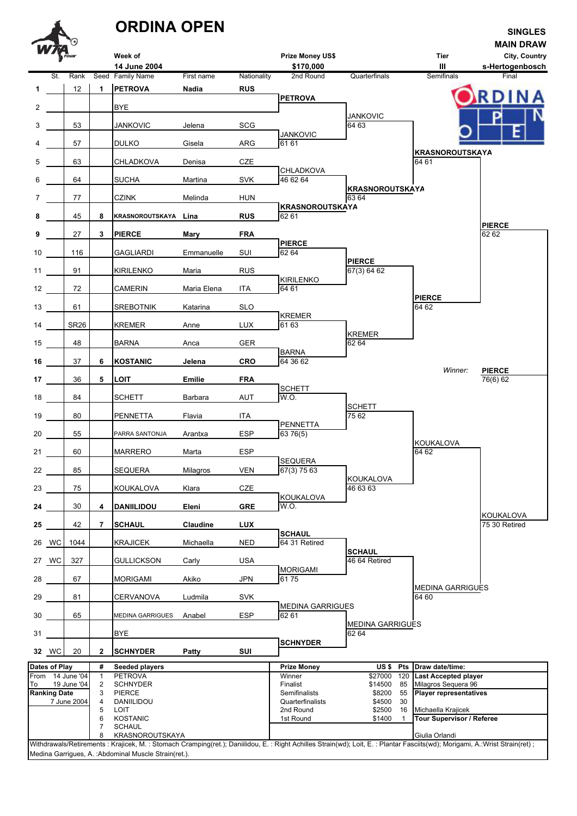|    |                                    |                                 |                     | <b>ORDINA OPEN</b>                |             |             |                                                                                                                                                                                |                                        |                                                    | <b>SINGLES</b>                                       |
|----|------------------------------------|---------------------------------|---------------------|-----------------------------------|-------------|-------------|--------------------------------------------------------------------------------------------------------------------------------------------------------------------------------|----------------------------------------|----------------------------------------------------|------------------------------------------------------|
|    |                                    |                                 |                     | Week of<br>14 June 2004           |             |             | Prize Money US\$<br>\$170,000                                                                                                                                                  |                                        | <b>Tier</b><br>Ш                                   | <b>MAIN DRAW</b><br>City, Country<br>s-Hertogenbosch |
|    | St.                                | Rank                            |                     | Seed Family Name                  | First name  | Nationality | 2nd Round                                                                                                                                                                      | Quarterfinals                          | Semifinals                                         | Final                                                |
| 1  |                                    | 12                              | 1                   | <b>PETROVA</b>                    | Nadia       | <b>RUS</b>  | <b>PETROVA</b>                                                                                                                                                                 |                                        |                                                    |                                                      |
| 2  |                                    |                                 |                     | BYE                               |             |             |                                                                                                                                                                                |                                        |                                                    |                                                      |
| 3  |                                    | 53                              |                     | JANKOVIC                          | Jelena      | SCG         |                                                                                                                                                                                | <b>JANKOVIC</b><br>64 63               |                                                    |                                                      |
| 4  |                                    | 57                              |                     | DULKO                             | Gisela      | ARG         | JANKOVIC<br>61 61                                                                                                                                                              |                                        |                                                    |                                                      |
| 5  |                                    | 63                              |                     |                                   |             | <b>CZE</b>  |                                                                                                                                                                                |                                        | <b>KRASNOROUTSKAYA</b><br>64 61                    |                                                      |
|    |                                    |                                 |                     | CHLADKOVA                         | Denisa      |             | CHLADKOVA                                                                                                                                                                      |                                        |                                                    |                                                      |
| 6  |                                    | 64                              |                     | SUCHA                             | Martina     | <b>SVK</b>  | 46 62 64                                                                                                                                                                       | <b>KRASNOROUTSKAYA</b>                 |                                                    |                                                      |
| 7  |                                    | 77                              |                     | CZINK                             | Melinda     | <b>HUN</b>  | <b>KRASNOROUTSKAYA</b>                                                                                                                                                         | 63 64                                  |                                                    |                                                      |
| 8  |                                    | 45                              | 8                   | KRASNOROUTSKAYA                   | Lina        | <b>RUS</b>  | 62 61                                                                                                                                                                          |                                        |                                                    |                                                      |
| 9  |                                    | 27                              | 3                   | <b>PIERCE</b>                     | Mary        | <b>FRA</b>  |                                                                                                                                                                                |                                        |                                                    | <b>PIERCE</b><br>62 62                               |
| 10 |                                    | 116                             |                     | GAGLIARDI                         | Emmanuelle  | SUI         | <b>PIERCE</b><br>62 64                                                                                                                                                         |                                        |                                                    |                                                      |
|    |                                    | 91                              |                     |                                   |             |             |                                                                                                                                                                                | <b>PIERCE</b><br>67(3) 64 62           |                                                    |                                                      |
| 11 |                                    |                                 |                     | <b>KIRILENKO</b>                  | Maria       | <b>RUS</b>  | <b>KIRILENKO</b>                                                                                                                                                               |                                        |                                                    |                                                      |
| 12 |                                    | 72                              |                     | CAMERIN                           | Maria Elena | ITA         | 64 61                                                                                                                                                                          |                                        | <b>PIERCE</b>                                      |                                                      |
| 13 |                                    | 61                              |                     | <b>SREBOTNIK</b>                  | Katarina    | <b>SLO</b>  | KREMER                                                                                                                                                                         |                                        | 64 62                                              |                                                      |
| 14 |                                    | <b>SR26</b>                     |                     | KREMER                            | Anne        | <b>LUX</b>  | 61 63                                                                                                                                                                          |                                        |                                                    |                                                      |
| 15 |                                    | 48                              |                     | BARNA                             | Anca        | <b>GER</b>  |                                                                                                                                                                                | <b>KREMER</b><br>62 64                 |                                                    |                                                      |
| 16 |                                    | 37                              | 6                   | KOSTANIC                          | Jelena      | <b>CRO</b>  | <b>BARNA</b><br>64 36 62                                                                                                                                                       |                                        |                                                    |                                                      |
|    |                                    |                                 |                     |                                   |             |             |                                                                                                                                                                                |                                        | Winner:                                            | <b>PIERCE</b>                                        |
| 17 |                                    | 36                              | 5                   | LOIT                              | Emilie      | <b>FRA</b>  | <b>SCHETT</b>                                                                                                                                                                  |                                        |                                                    | 76(6) 62                                             |
| 18 |                                    | 84                              |                     | SCHETT                            | Barbara     | AUT         | W.O.                                                                                                                                                                           | <b>SCHETT</b>                          |                                                    |                                                      |
| 19 |                                    | 80                              |                     | <b>PENNETTA</b>                   | Flavia      | <b>ITA</b>  | <b>PENNETTA</b>                                                                                                                                                                | 75 62                                  |                                                    |                                                      |
| 20 |                                    | 55                              |                     | PARRA SANTONJA                    | Arantxa     | <b>ESP</b>  | 63 76(5)                                                                                                                                                                       |                                        |                                                    |                                                      |
| 21 |                                    | 60                              |                     | <b>MARRERO</b>                    | Marta       | ESP         |                                                                                                                                                                                |                                        | KOUKALOVA<br>64 62                                 |                                                      |
| 22 |                                    | 85                              |                     | SEQUERA                           | Milagros    | <b>VEN</b>  | <b>SEQUERA</b><br>67(3) 75 63                                                                                                                                                  |                                        |                                                    |                                                      |
|    |                                    |                                 |                     |                                   |             |             |                                                                                                                                                                                | KOUKALOVA                              |                                                    |                                                      |
| 23 |                                    | 75                              |                     | KOUKALOVA                         | Klara       | CZE         | KOUKALOVA                                                                                                                                                                      | 46 63 63                               |                                                    |                                                      |
| 24 |                                    | 30                              | 4                   | DANIILIDOU                        | Eleni       | <b>GRE</b>  | W.O.                                                                                                                                                                           |                                        |                                                    | <b>KOUKALOVA</b>                                     |
| 25 |                                    | 42                              | 7                   | <b>SCHAUL</b>                     | Claudine    | <b>LUX</b>  | <b>SCHAUL</b>                                                                                                                                                                  |                                        |                                                    | 75 30 Retired                                        |
|    | 26 WC                              | 1044                            |                     | KRAJICEK                          | Michaella   | <b>NED</b>  | 64 31 Retired                                                                                                                                                                  |                                        |                                                    |                                                      |
|    | 27 WC                              | 327                             |                     | <b>GULLICKSON</b>                 | Carly       | <b>USA</b>  |                                                                                                                                                                                | <b>SCHAUL</b><br>46 64 Retired         |                                                    |                                                      |
| 28 |                                    | 67                              |                     | MORIGAMI                          | Akiko       | <b>JPN</b>  | <b>MORIGAMI</b><br>6175                                                                                                                                                        |                                        |                                                    |                                                      |
|    |                                    |                                 |                     |                                   |             |             |                                                                                                                                                                                |                                        | <b>MEDINA GARRIGUES</b>                            |                                                      |
| 29 |                                    | 81                              |                     | CERVANOVA                         | Ludmila     | <b>SVK</b>  | <b>MEDINA GARRIGUES</b>                                                                                                                                                        |                                        | 64 60                                              |                                                      |
| 30 |                                    | 65                              |                     | <b>MEDINA GARRIGUES</b>           | Anabel      | <b>ESP</b>  | 62 61                                                                                                                                                                          | <b>MEDINA GARRIGUES</b>                |                                                    |                                                      |
| 31 |                                    |                                 |                     | <b>BYE</b>                        |             |             |                                                                                                                                                                                | 62 64                                  |                                                    |                                                      |
|    | 32 WC                              | 20                              | $\mathbf{2}$        | <b>SCHNYDER</b>                   | Patty       | SUI         | <b>SCHNYDER</b>                                                                                                                                                                |                                        |                                                    |                                                      |
|    | Dates of Play                      |                                 | #                   | Seeded players                    |             |             | <b>Prize Money</b>                                                                                                                                                             | US \$<br><b>Pts</b>                    | Draw date/time:                                    |                                                      |
| To |                                    | From 14 June '04<br>19 June '04 | $\mathbf{1}$<br>2   | <b>PETROVA</b><br><b>SCHNYDER</b> |             |             | Winner<br>Finalist                                                                                                                                                             | \$27000<br>120<br>\$14500<br>85        | <b>Last Accepted player</b><br>Milagros Sequera 96 |                                                      |
|    | <b>Ranking Date</b><br>7 June 2004 |                                 | 3<br>4              | PIERCE<br>DANIILIDOU              |             |             | Semifinalists<br>Quarterfinalists                                                                                                                                              | \$8200<br>55<br>\$4500<br>30           | <b>Player representatives</b>                      |                                                      |
|    |                                    |                                 |                     | LOIT<br><b>KOSTANIC</b>           |             |             | 2nd Round<br>1st Round                                                                                                                                                         | \$2500<br>16<br>\$1400<br>$\mathbf{1}$ | Michaella Krajicek<br>Tour Supervisor / Referee    |                                                      |
|    |                                    |                                 | 6<br>$\overline{7}$ | <b>SCHAUL</b>                     |             |             |                                                                                                                                                                                |                                        |                                                    |                                                      |
|    |                                    |                                 | 8                   | KRASNOROUTSKAYA                   |             |             | Withdrawals/Retirements : Krajicek, M. : Stomach Cramping(ret.); Daniilidou, E. : Right Achilles Strain(wd); Loit, E. : Plantar Fasciits(wd); Morigami, A.:Wrist Strain(ret) ; |                                        | Giulia Orlandi                                     |                                                      |

Medina Garrigues, A. :Abdominal Muscle Strain(ret.).